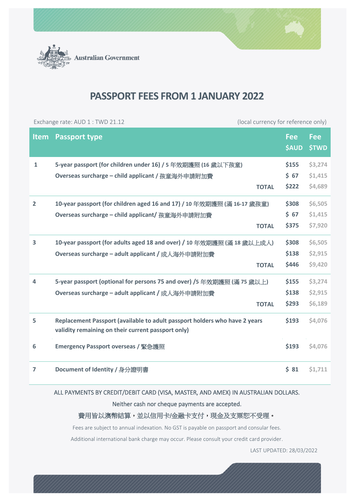

**Australian Government** 

## **PASSPORT FEES FROM 1 JANUARY 2022**

| Exchange rate: AUD 1 : TWD 21.12 |                                                                                                                                  | (local currency for reference only) |                            |                            |
|----------------------------------|----------------------------------------------------------------------------------------------------------------------------------|-------------------------------------|----------------------------|----------------------------|
| <b>Item</b>                      | <b>Passport type</b>                                                                                                             |                                     | <b>Fee</b><br><b>\$AUD</b> | <b>Fee</b><br><b>\$TWD</b> |
| $\mathbf{1}$                     | 5-year passport (for children under 16) / 5 年效期護照 (16 歲以下孩童)                                                                     |                                     | \$155                      | \$3,274                    |
|                                  | Overseas surcharge - child applicant / 孩童海外申請附加費                                                                                 |                                     | \$67                       | \$1,415                    |
|                                  |                                                                                                                                  | <b>TOTAL</b>                        | \$222                      | \$4,689                    |
| $\overline{2}$                   | 10-year passport (for children aged 16 and 17) / 10 年效期護照 (滿 16-17 歲孩童)                                                          |                                     | \$308                      | \$6,505                    |
|                                  | Overseas surcharge - child applicant/ 孩童海外申請附加費                                                                                  |                                     | \$67                       | \$1,415                    |
|                                  |                                                                                                                                  | <b>TOTAL</b>                        | \$375                      | \$7,920                    |
| 3                                | 10-year passport (for adults aged 18 and over) / 10 年效期護照 (滿 18 歲以上成人)                                                           |                                     | \$308                      | \$6,505                    |
|                                  | Overseas surcharge - adult applicant / 成人海外申請附加費                                                                                 |                                     | \$138                      | \$2,915                    |
|                                  |                                                                                                                                  | <b>TOTAL</b>                        | \$446                      | \$9,420                    |
| $\overline{4}$                   | 5-year passport (optional for persons 75 and over) /5 年效期護照 (滿 75 歲以上)                                                           |                                     | \$155                      | \$3,274                    |
|                                  | Overseas surcharge - adult applicant / 成人海外申請附加費                                                                                 |                                     | \$138                      | \$2,915                    |
|                                  |                                                                                                                                  | <b>TOTAL</b>                        | \$293                      | \$6,189                    |
| 5                                | Replacement Passport (available to adult passport holders who have 2 years<br>validity remaining on their current passport only) |                                     | \$193                      | \$4,076                    |
| 6                                | <b>Emergency Passport overseas / 緊急護照</b>                                                                                        |                                     | \$193                      | \$4,076                    |
| $\overline{7}$                   | Document of Identity / 身分證明書                                                                                                     |                                     | 581                        | \$1,711                    |

## ALL PAYMENTS BY CREDIT/DEBIT CARD (VISA, MASTER, AND AMEX) IN AUSTRALIAN DOLLARS.

Neither cash nor cheque payments are accepted.

## 費用皆以澳幣結算,並以信用卡/金融卡支付,現金及支票恕不受理。

Fees are subject to annual indexation. No GST is payable on passport and consular fees.

Additional international bank charge may occur. Please consult your credit card provider.

LAST UPDATED: 28/03/2022